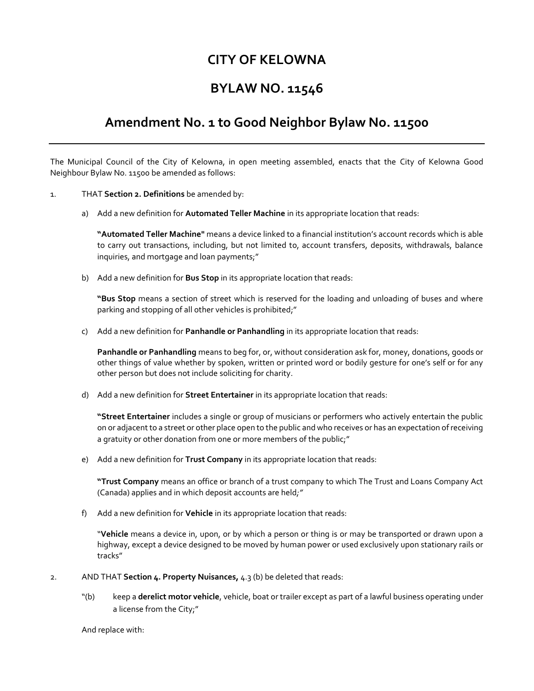## **CITY OF KELOWNA**

# **BYLAW NO. 11546**

## **Amendment No. 1 to Good Neighbor Bylaw No. 11500**

The Municipal Council of the City of Kelowna, in open meeting assembled, enacts that the City of Kelowna Good Neighbour Bylaw No. 11500 be amended as follows:

- 1. THAT **Section 2. Definitions** be amended by:
	- a) Add a new definition for **Automated Teller Machine** in its appropriate location that reads:

**"Automated Teller Machine"** means a device linked to a financial institution's account records which is able to carry out transactions, including, but not limited to, account transfers, deposits, withdrawals, balance inquiries, and mortgage and loan payments;"

b) Add a new definition for **Bus Stop** in its appropriate location that reads:

**"Bus Stop** means a section of street which is reserved for the loading and unloading of buses and where parking and stopping of all other vehicles is prohibited;"

c) Add a new definition for **Panhandle or Panhandling** in its appropriate location that reads:

**Panhandle or Panhandling** means to beg for, or, without consideration ask for, money, donations, goods or other things of value whether by spoken, written or printed word or bodily gesture for one's self or for any other person but does not include soliciting for charity.

d) Add a new definition for **Street Entertainer** in its appropriate location that reads:

**"Street Entertainer** includes a single or group of musicians or performers who actively entertain the public on or adjacent to a street or other place open to the public and who receives or has an expectation of receiving a gratuity or other donation from one or more members of the public;"

e) Add a new definition for **Trust Company** in its appropriate location that reads:

**"Trust Company** means an office or branch of a trust company to which The Trust and Loans Company Act (Canada) applies and in which deposit accounts are held*;"*

f) Add a new definition for **Vehicle** in its appropriate location that reads:

"**Vehicle** means a device in, upon, or by which a person or thing is or may be transported or drawn upon a highway, except a device designed to be moved by human power or used exclusively upon stationary rails or tracks"

- 2. AND THAT **Section 4. Property Nuisances,** 4.3 (b) be deleted that reads:
	- "(b) keep a **derelict motor vehicle**, vehicle, boat or trailer except as part of a lawful business operating under a license from the City;"

And replace with: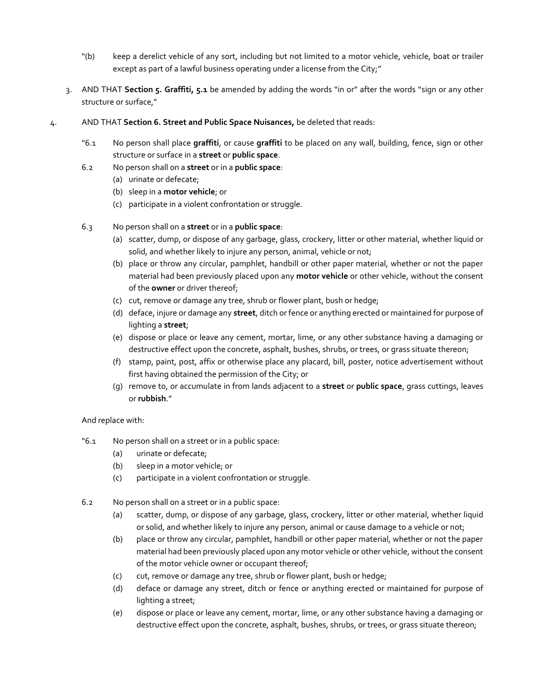- "(b) keep a derelict vehicle of any sort, including but not limited to a motor vehicle, vehicle, boat or trailer except as part of a lawful business operating under a license from the City;"
- 3. AND THAT **Section 5. Graffiti, 5.1** be amended by adding the words "in or" after the words "sign or any other structure or surface,"
- 4. AND THAT **Section 6. Street and Public Space Nuisances,** be deleted that reads:
	- "6.1 No person shall place **graffiti**, or cause **graffiti** to be placed on any wall, building, fence, sign or other structure or surface in a **street** or **public space**.
	- 6.2 No person shall on a **street** or in a **public space**:
		- (a) urinate or defecate;
		- (b) sleep in a **motor vehicle**; or
		- (c) participate in a violent confrontation or struggle.
	- 6.3 No person shall on a **street** or in a **public space**:
		- (a) scatter, dump, or dispose of any garbage, glass, crockery, litter or other material, whether liquid or solid, and whether likely to injure any person, animal, vehicle or not;
		- (b) place or throw any circular, pamphlet, handbill or other paper material, whether or not the paper material had been previously placed upon any **motor vehicle** or other vehicle, without the consent of the **owner** or driver thereof;
		- (c) cut, remove or damage any tree, shrub or flower plant, bush or hedge;
		- (d) deface, injure or damage any **street**, ditch or fence or anything erected or maintained for purpose of lighting a **street**;
		- (e) dispose or place or leave any cement, mortar, lime, or any other substance having a damaging or destructive effect upon the concrete, asphalt, bushes, shrubs, or trees, or grass situate thereon;
		- (f) stamp, paint, post, affix or otherwise place any placard, bill, poster, notice advertisement without first having obtained the permission of the City; or
		- (g) remove to, or accumulate in from lands adjacent to a **street** or **public space**, grass cuttings, leaves or **rubbish**."

### And replace with:

- "6.1 No person shall on a street or in a public space:
	- (a) urinate or defecate;
	- (b) sleep in a motor vehicle; or
	- (c) participate in a violent confrontation or struggle.
- 6.2 No person shall on a street or in a public space:
	- (a) scatter, dump, or dispose of any garbage, glass, crockery, litter or other material, whether liquid or solid, and whether likely to injure any person, animal or cause damage to a vehicle or not;
	- (b) place or throw any circular, pamphlet, handbill or other paper material, whether or not the paper material had been previously placed upon any motor vehicle or other vehicle, without the consent of the motor vehicle owner or occupant thereof;
	- (c) cut, remove or damage any tree, shrub or flower plant, bush or hedge;
	- (d) deface or damage any street, ditch or fence or anything erected or maintained for purpose of lighting a street;
	- (e) dispose or place or leave any cement, mortar, lime, or any other substance having a damaging or destructive effect upon the concrete, asphalt, bushes, shrubs, or trees, or grass situate thereon;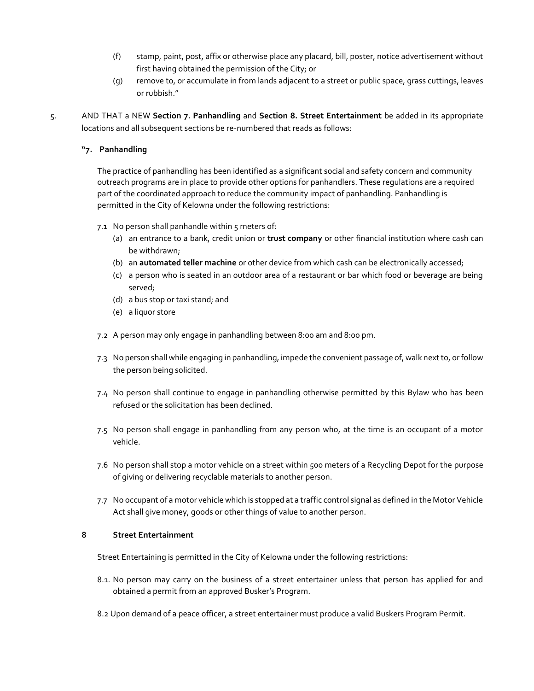- (f) stamp, paint, post, affix or otherwise place any placard, bill, poster, notice advertisement without first having obtained the permission of the City; or
- (g) remove to, or accumulate in from lands adjacent to a street or public space, grass cuttings, leaves or rubbish."
- 5. AND THAT a NEW **Section 7. Panhandling** and **Section 8. Street Entertainment** be added in its appropriate locations and all subsequent sections be re-numbered that reads as follows:

### **"7. Panhandling**

The practice of panhandling has been identified as a significant social and safety concern and community outreach programs are in place to provide other options for panhandlers. These regulations are a required part of the coordinated approach to reduce the community impact of panhandling. Panhandling is permitted in the City of Kelowna under the following restrictions:

- 7.1 No person shall panhandle within 5 meters of:
	- (a) an entrance to a bank, credit union or **trust company** or other financial institution where cash can be withdrawn;
	- (b) an **automated teller machine** or other device from which cash can be electronically accessed;
	- (c) a person who is seated in an outdoor area of a restaurant or bar which food or beverage are being served;
	- (d) a bus stop or taxi stand; and
	- (e) a liquor store
- 7.2 A person may only engage in panhandling between 8:00 am and 8:00 pm.
- 7.3 No person shall while engaging in panhandling, impede the convenient passage of, walk next to, or follow the person being solicited.
- 7.4 No person shall continue to engage in panhandling otherwise permitted by this Bylaw who has been refused or the solicitation has been declined.
- 7.5 No person shall engage in panhandling from any person who, at the time is an occupant of a motor vehicle.
- 7.6 No person shall stop a motor vehicle on a street within 500 meters of a Recycling Depot for the purpose of giving or delivering recyclable materials to another person.
- 7.7 No occupant of a motor vehicle which is stopped at a traffic control signal as defined in the Motor Vehicle Act shall give money, goods or other things of value to another person.

### **8 Street Entertainment**

Street Entertaining is permitted in the City of Kelowna under the following restrictions:

- 8.1. No person may carry on the business of a street entertainer unless that person has applied for and obtained a permit from an approved Busker's Program.
- 8.2 Upon demand of a peace officer, a street entertainer must produce a valid Buskers Program Permit.